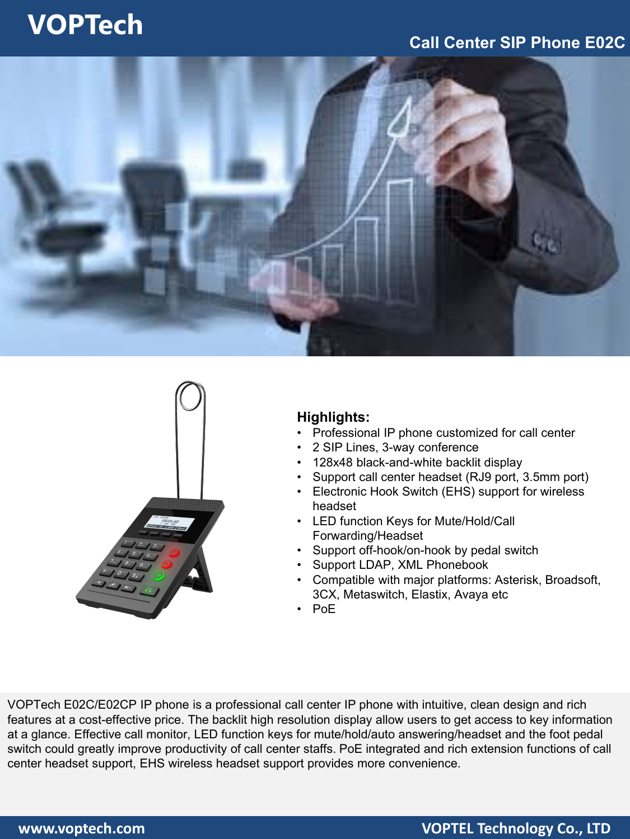## **VOPTech**

### **Call Center SIP Phone E02C**





#### **Highlights:**

- Professional IP phone customized for call center
- 2 SIP Lines, 3-way conference
- 128x48 black-and-white backlit display
- Support call center headset (RJ9 port, 3.5mm port)
- Electronic Hook Switch (EHS) support for wireless headset
- LED function Keys for Mute/Hold/Call Forwarding/Headset
- Support off-hook/on-hook by pedal switch
- Support LDAP, XML Phonebook
- Compatible with major platforms: Asterisk, Broadsoft, 3CX, Metaswitch, Elastix, Avaya etc
- PoE

VOPTech E02C/E02CP IP phone is a professional call center IP phone with intuitive, clean design and rich features at a cost-effective price. The backlit high resolution display allow users to get access to key information at a glance. Effective call monitor, LED function keys for mute/hold/auto answering/headset and the foot pedal switch could greatly improve productivity of call center staffs. PoE integrated and rich extension functions of call center headset support, EHS wireless headset support provides more convenience.